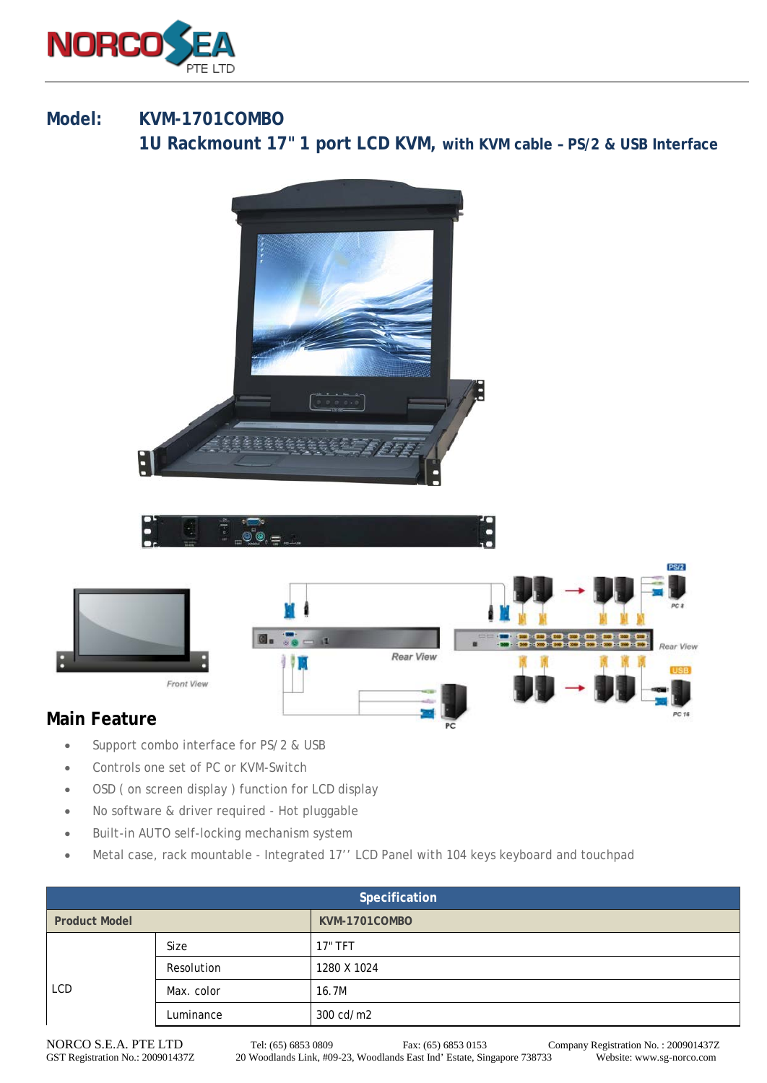

## **Model: KVM-1701COMBO**

**1U Rackmount 17" 1 port LCD KVM, with KVM cable – PS/2 & USB Interface**







## **[Main Feature](http://www.sg-norco.com/)**

- Support combo interface for PS/2 & USB
- Controls one set of PC or KVM-Switch
- OSD ( on screen display ) function for LCD display
- No software & driver required Hot pluggable
- Built-in AUTO self-locking mechanism system
- Metal case, rack mountable Integrated 17'' LCD Panel with 104 keys keyboard and touchpad

| Specification        |            |               |  |
|----------------------|------------|---------------|--|
| <b>Product Model</b> |            | KVM-1701COMBO |  |
| <b>LCD</b>           | Size       | 17" TFT       |  |
|                      | Resolution | 1280 X 1024   |  |
|                      | Max. color | 16.7M         |  |
|                      | Luminance  | 300 cd/m2     |  |